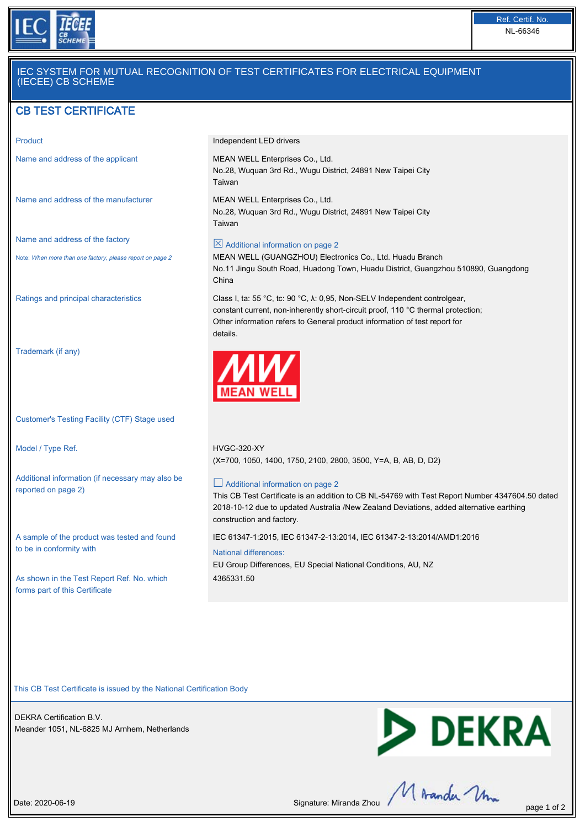

# IEC SYSTEM FOR MUTUAL RECOGNITION OF TEST CERTIFICATES FOR ELECTRICAL EQUIPMENT (IECEE) CB SCHEME

# CB TEST CERTIFICATE

Name and address of the manufacturer MEAN WELL Enterprises Co., Ltd.

Name and address of the factory

Note: When more than one factory, please report on page 2

Trademark (if any)

Customer's Testing Facility (CTF) Stage used

Model / Type Ref. The Model of the MCC-320-XY

Additional information (if necessary may also be reported on page 2)

A sample of the product was tested and found to be in conformity with

As shown in the Test Report Ref. No. which forms part of this Certificate

Product **Independent LED drivers** 

Name and address of the applicant MEAN WELL Enterprises Co., Ltd. No.28, Wuquan 3rd Rd., Wugu District, 24891 New Taipei City Taiwan

> No.28, Wuquan 3rd Rd., Wugu District, 24891 New Taipei City Taiwan

### $\boxtimes$  Additional information on page 2

MEAN WELL (GUANGZHOU) Electronics Co., Ltd. Huadu Branch No.11 Jingu South Road, Huadong Town, Huadu District, Guangzhou 510890, Guangdong China

Ratings and principal characteristics Class I, ta: 55 °C, tc: 90 °C, λ: 0,95, Non-SELV Independent controlgear, constant current, non-inherently short-circuit proof, 110 °C thermal protection; Other information refers to General product information of test report for details.



(X=700, 1050, 1400, 1750, 2100, 2800, 3500, Y=A, B, AB, D, D2)

#### □ Additional information on page 2

This CB Test Certificate is an addition to CB NL-54769 with Test Report Number 4347604.50 dated 2018-10-12 due to updated Australia /New Zealand Deviations, added alternative earthing construction and factory.

IEC 61347-1:2015, IEC 61347-2-13:2014, IEC 61347-2-13:2014/AMD1:2016

National differences: EU Group Differences, EU Special National Conditions, AU, NZ 4365331.50

This CB Test Certificate is issued by the National Certification Body

DEKRA Certification B.V. Meander 1051, NL-6825 MJ Arnhem, Netherlands